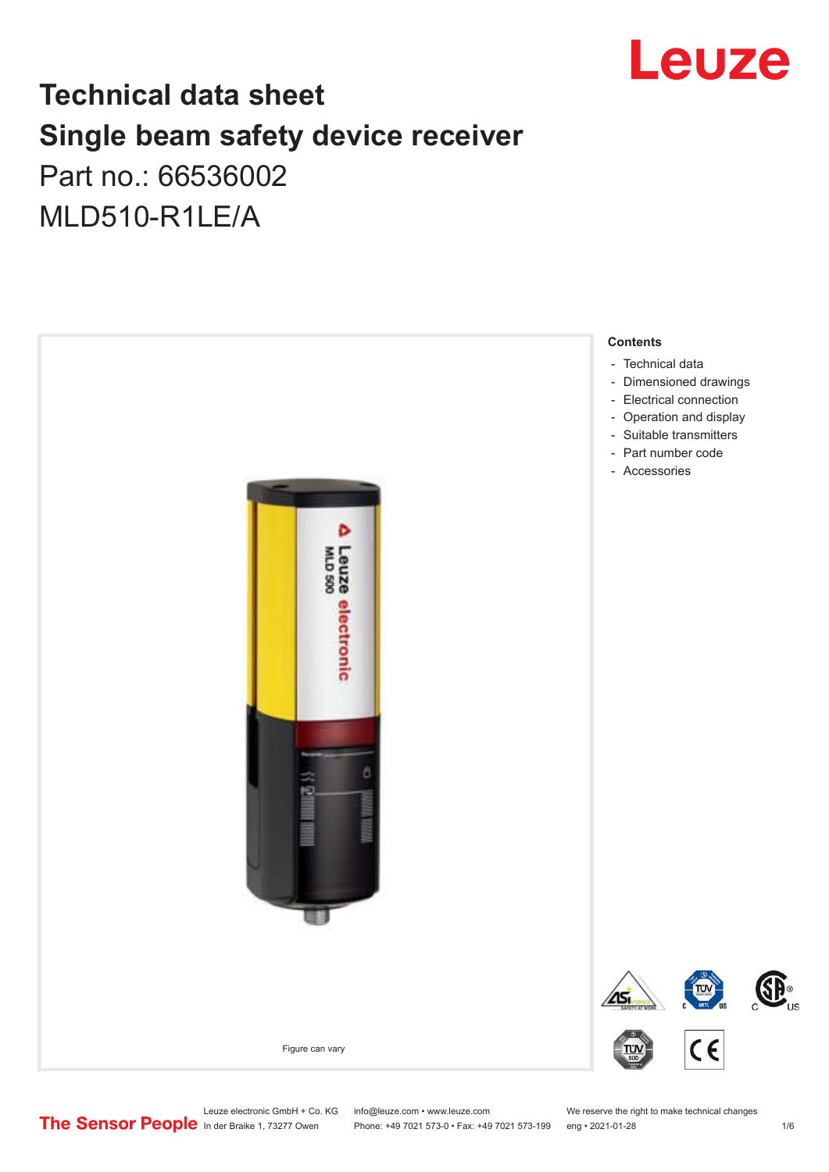

## **Technical data sheet Single beam safety device receiver** Part no.: 66536002

MLD510-R1LE/A



Leuze electronic GmbH + Co. KG info@leuze.com • www.leuze.com We reserve the right to make technical changes<br>
The Sensor People in der Braike 1, 73277 Owen Phone: +49 7021 573-0 • Fax: +49 7021 573-199 eng • 2021-01-28

Phone: +49 7021 573-0 • Fax: +49 7021 573-199 eng • 2021-01-28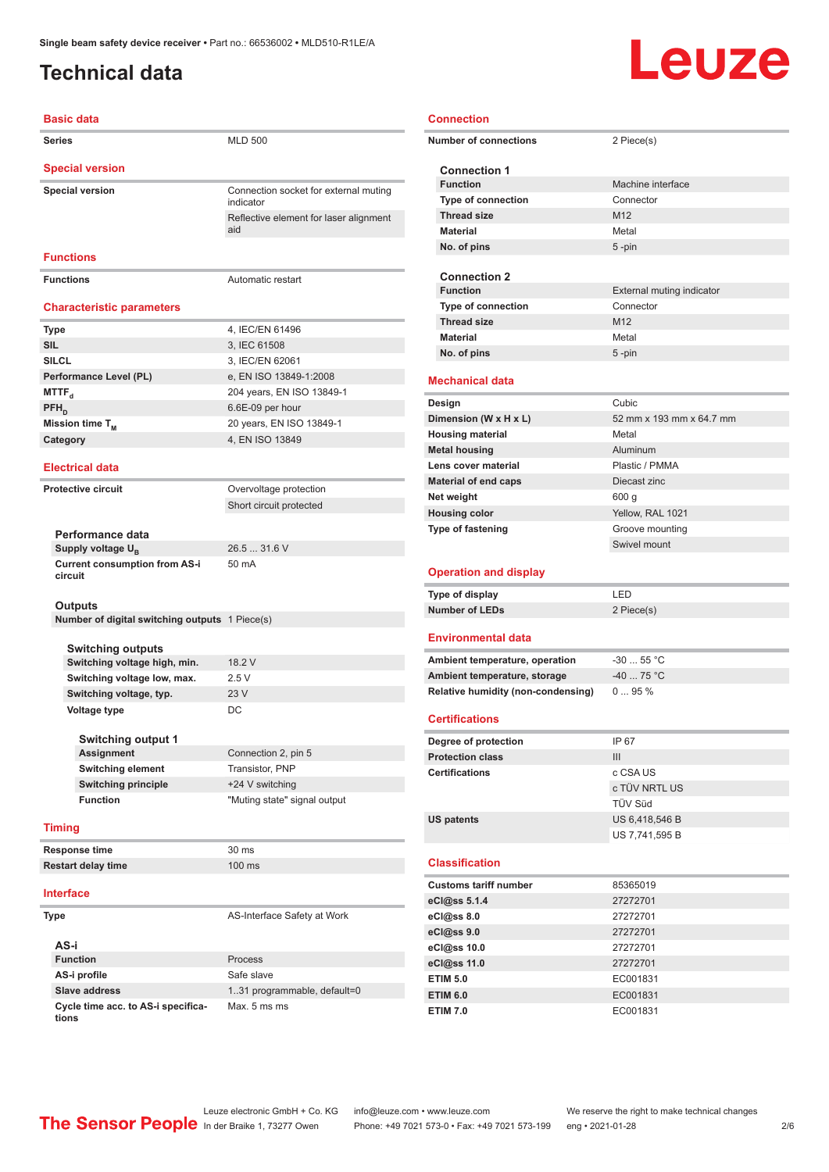## <span id="page-1-0"></span>**Technical data**

#### **Basic data**

| <b>Series</b>                    | <b>MLD 500</b>                                     |  |  |  |
|----------------------------------|----------------------------------------------------|--|--|--|
| <b>Special version</b>           |                                                    |  |  |  |
| <b>Special version</b>           | Connection socket for external muting<br>indicator |  |  |  |
|                                  | Reflective element for laser alignment<br>aid      |  |  |  |
| <b>Functions</b>                 |                                                    |  |  |  |
| <b>Functions</b>                 | Automatic restart                                  |  |  |  |
| <b>Characteristic parameters</b> |                                                    |  |  |  |
| <b>Type</b>                      | 4, IEC/EN 61496                                    |  |  |  |

| <b>TADE</b>            | 4, IEU/LIN 01490          |
|------------------------|---------------------------|
| <b>SIL</b>             | 3, IEC 61508              |
| <b>SILCL</b>           | 3, IEC/EN 62061           |
| Performance Level (PL) | e, EN ISO 13849-1:2008    |
| MTTF <sub>a</sub>      | 204 years, EN ISO 13849-1 |
| $PFH_{n}$              | 6.6E-09 per hour          |
| Mission time $T_M$     | 20 years, EN ISO 13849-1  |
| Category               | 4, EN ISO 13849           |
|                        |                           |

#### **Electrical data**

**Protective circuit** Overvoltage protection Short circuit protected

26.5 ... 31.6 V

50 mA

**Performance data** Supply voltage  $U_B$ **Current consumption from AS-i circuit**

#### **Outputs**

**Number of digital switching outputs** 1 Piece(s)

**Switching outputs Switching voltage high, min.** 18.2 V **Switching voltage low, max.** 2.5 V **Switching voltage, typ.** 23 V **Voltage type** DC

| <b>Switching output 1</b>  |                              |
|----------------------------|------------------------------|
| <b>Assignment</b>          | Connection 2, pin 5          |
| <b>Switching element</b>   | Transistor, PNP              |
| <b>Switching principle</b> | +24 V switching              |
| <b>Function</b>            | "Muting state" signal output |

#### **Timing**

**Response time** 30 ms **Restart delay time** 100 ms

#### **Interface**

| Type                                        | AS-Interface Safety at Work  |
|---------------------------------------------|------------------------------|
| AS-i                                        |                              |
| <b>Function</b>                             | Process                      |
| AS-i profile                                | Safe slave                   |
| Slave address                               | 1.31 programmable, default=0 |
| Cycle time acc. to AS-i specifica-<br>tions | Max. 5 ms ms                 |

## Leuze

| <b>Connection</b>                               |                           |
|-------------------------------------------------|---------------------------|
| <b>Number of connections</b>                    | 2 Piece(s)                |
| <b>Connection 1</b>                             |                           |
| <b>Function</b>                                 | Machine interface         |
| <b>Type of connection</b>                       | Connector                 |
| <b>Thread size</b>                              | M12                       |
| <b>Material</b>                                 | Metal                     |
| No. of pins                                     | $5 - pin$                 |
|                                                 |                           |
| <b>Connection 2</b>                             |                           |
| <b>Function</b>                                 | External muting indicator |
| <b>Type of connection</b>                       | Connector                 |
| <b>Thread size</b>                              | M <sub>12</sub>           |
| <b>Material</b>                                 | Metal                     |
| No. of pins                                     | $5 - pin$                 |
| Mechanical data                                 |                           |
| Design                                          | Cubic                     |
| Dimension (W x H x L)                           | 52 mm x 193 mm x 64.7 mm  |
| <b>Housing material</b>                         | Metal                     |
| <b>Metal housing</b>                            | Aluminum                  |
| Lens cover material                             | Plastic / PMMA            |
| <b>Material of end caps</b>                     | Diecast zinc              |
| Net weight                                      | 600 <sub>g</sub>          |
| <b>Housing color</b>                            | Yellow, RAL 1021          |
| Type of fastening                               | Groove mounting           |
|                                                 | Swivel mount              |
|                                                 |                           |
|                                                 |                           |
| <b>Operation and display</b>                    |                           |
|                                                 | LED                       |
| Type of display<br><b>Number of LEDs</b>        | 2 Piece(s)                |
|                                                 |                           |
| <b>Environmental data</b>                       |                           |
| Ambient temperature, operation                  | $-3055$ °C                |
| Ambient temperature, storage                    | -40  75 °C                |
| <b>Relative humidity (non-condensing)</b>       | 095%                      |
|                                                 |                           |
| <b>Certifications</b>                           |                           |
|                                                 | IP 67                     |
| Degree of protection<br><b>Protection class</b> | III                       |
| <b>Certifications</b>                           | c CSA US                  |
|                                                 | c TÜV NRTL US             |
|                                                 | TÜV Süd                   |
| <b>US patents</b>                               | US 6,418,546 B            |
|                                                 | US 7,741,595 B            |
|                                                 |                           |
| <b>Classification</b>                           |                           |
| <b>Customs tariff number</b>                    | 85365019                  |
| eCl@ss 5.1.4                                    | 27272701                  |
| eCl@ss 8.0                                      | 27272701                  |
| eCl@ss 9.0                                      | 27272701                  |
| eCl@ss 10.0                                     | 27272701                  |
| eCl@ss 11.0                                     | 27272701                  |
| <b>ETIM 5.0</b>                                 | EC001831                  |
| <b>ETIM 6.0</b>                                 | EC001831                  |
| <b>ETIM 7.0</b>                                 | EC001831                  |

Leuze electronic GmbH + Co. KG info@leuze.com • www.leuze.com We reserve the right to make technical changes<br>
The Sensor People in der Braike 1, 73277 Owen Phone: +49 7021 573-0 • Fax: +49 7021 573-199 eng • 2021-01-28

In der Braike 1, 73277 Owen Phone: +49 7021 573-0 • Fax: +49 7021 573-199 eng • 2021-01-28 2 /6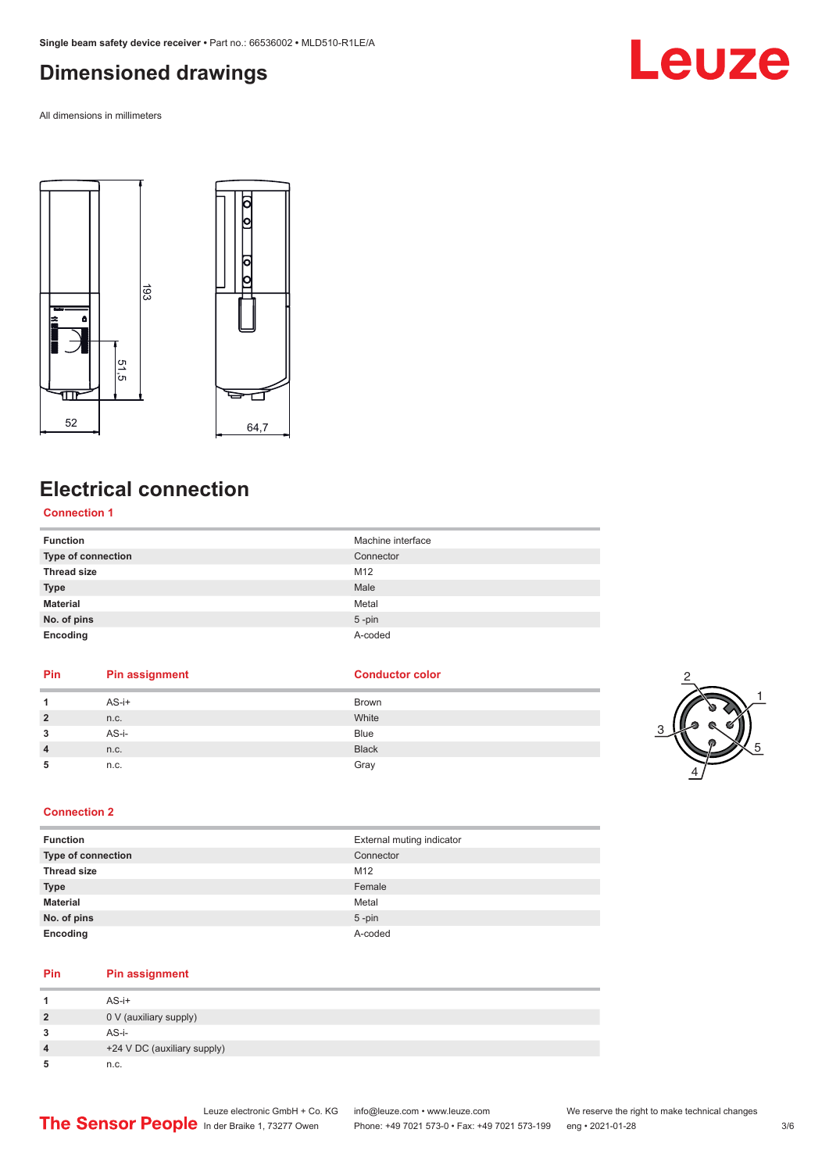## <span id="page-2-0"></span>**Dimensioned drawings**

All dimensions in millimeters



## **Electrical connection**

#### **Connection 1**

| <b>Function</b>    | Machine interface |
|--------------------|-------------------|
| Type of connection | Connector         |
| <b>Thread size</b> | M12               |
| <b>Type</b>        | Male              |
| <b>Material</b>    | Metal             |
| No. of pins        | $5$ -pin          |
| Encoding           | A-coded           |

### **Pin Pin assignment Conductor Conductor Color 1** AS-i+ Brown **2** n.c. White **3** AS-i- Blue **4** n.c. Black **5 h**.c. Gray



Leuze

#### **Connection 2**

| <b>Function</b>           | External muting indicator |
|---------------------------|---------------------------|
| <b>Type of connection</b> | Connector                 |
| <b>Thread size</b>        | M12                       |
| <b>Type</b>               | Female                    |
| <b>Material</b>           | Metal                     |
| No. of pins               | $5$ -pin                  |
| Encoding                  | A-coded                   |

#### **Pin Pin assignment**

|   | $AS-i+$                     |
|---|-----------------------------|
| 2 | 0 V (auxiliary supply)      |
|   | $AS - i -$                  |
| 4 | +24 V DC (auxiliary supply) |
|   | n.c.                        |

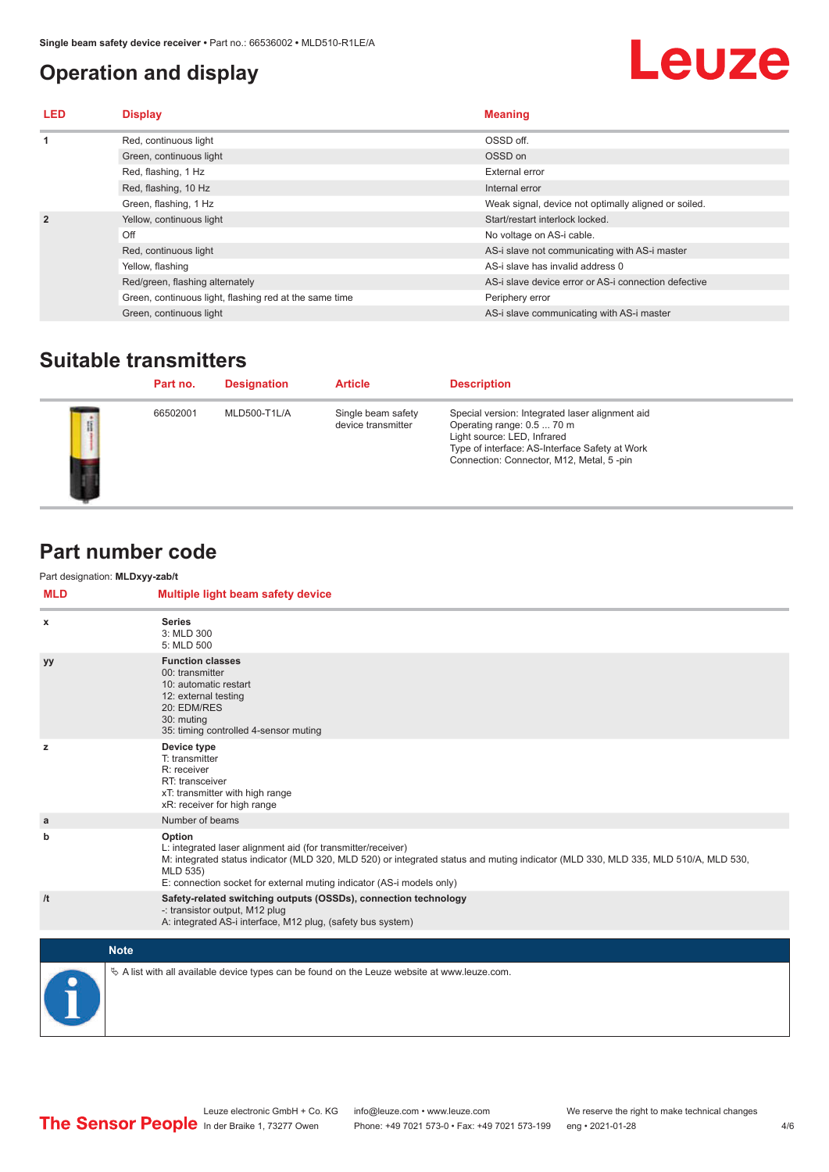## <span id="page-3-0"></span>**Operation and display**

# **Leuze**

| LED            | <b>Display</b>                                         | <b>Meaning</b>                                       |
|----------------|--------------------------------------------------------|------------------------------------------------------|
|                | Red, continuous light                                  | OSSD off.                                            |
|                | Green, continuous light                                | OSSD on                                              |
|                | Red, flashing, 1 Hz                                    | External error                                       |
|                | Red, flashing, 10 Hz                                   | Internal error                                       |
|                | Green, flashing, 1 Hz                                  | Weak signal, device not optimally aligned or soiled. |
| $\overline{2}$ | Yellow, continuous light                               | Start/restart interlock locked.                      |
|                | Off                                                    | No voltage on AS-i cable.                            |
|                | Red, continuous light                                  | AS-i slave not communicating with AS-i master        |
|                | Yellow, flashing                                       | AS-i slave has invalid address 0                     |
|                | Red/green, flashing alternately                        | AS-i slave device error or AS-i connection defective |
|                | Green, continuous light, flashing red at the same time | Periphery error                                      |
|                | Green, continuous light                                | AS-i slave communicating with AS-i master            |
|                |                                                        |                                                      |

## **Suitable transmitters**

|   | Part no. | <b>Designation</b> | <b>Article</b>                           | <b>Description</b>                                                                                                                                                                                         |
|---|----------|--------------------|------------------------------------------|------------------------------------------------------------------------------------------------------------------------------------------------------------------------------------------------------------|
| f | 66502001 | MLD500-T1L/A       | Single beam safety<br>device transmitter | Special version: Integrated laser alignment aid<br>Operating range: 0.5  70 m<br>Light source: LED, Infrared<br>Type of interface: AS-Interface Safety at Work<br>Connection: Connector, M12, Metal, 5-pin |

### **Part number code**

Part designation: **MLDxyy-zab/t**

| <b>MLD</b> | Multiple light beam safety device                                                                                                                                                                                                                                                                 |
|------------|---------------------------------------------------------------------------------------------------------------------------------------------------------------------------------------------------------------------------------------------------------------------------------------------------|
| x          | <b>Series</b><br>3: MLD 300<br>5: MLD 500                                                                                                                                                                                                                                                         |
| yy         | <b>Function classes</b><br>00: transmitter<br>10: automatic restart<br>12: external testing<br>20: EDM/RES<br>30: muting<br>35: timing controlled 4-sensor muting                                                                                                                                 |
| z          | Device type<br>T: transmitter<br>R: receiver<br>RT: transceiver<br>xT: transmitter with high range<br>xR: receiver for high range                                                                                                                                                                 |
| a          | Number of beams                                                                                                                                                                                                                                                                                   |
| b          | Option<br>L: integrated laser alignment aid (for transmitter/receiver)<br>M: integrated status indicator (MLD 320, MLD 520) or integrated status and muting indicator (MLD 330, MLD 335, MLD 510/A, MLD 530,<br>MLD 535)<br>E: connection socket for external muting indicator (AS-i models only) |
| /t         | Safety-related switching outputs (OSSDs), connection technology<br>-: transistor output, M12 plug<br>A: integrated AS-i interface, M12 plug, (safety bus system)                                                                                                                                  |
|            |                                                                                                                                                                                                                                                                                                   |
|            | <b>Note</b>                                                                                                                                                                                                                                                                                       |
|            | $\&$ A list with all available device types can be found on the Leuze website at www.leuze.com.                                                                                                                                                                                                   |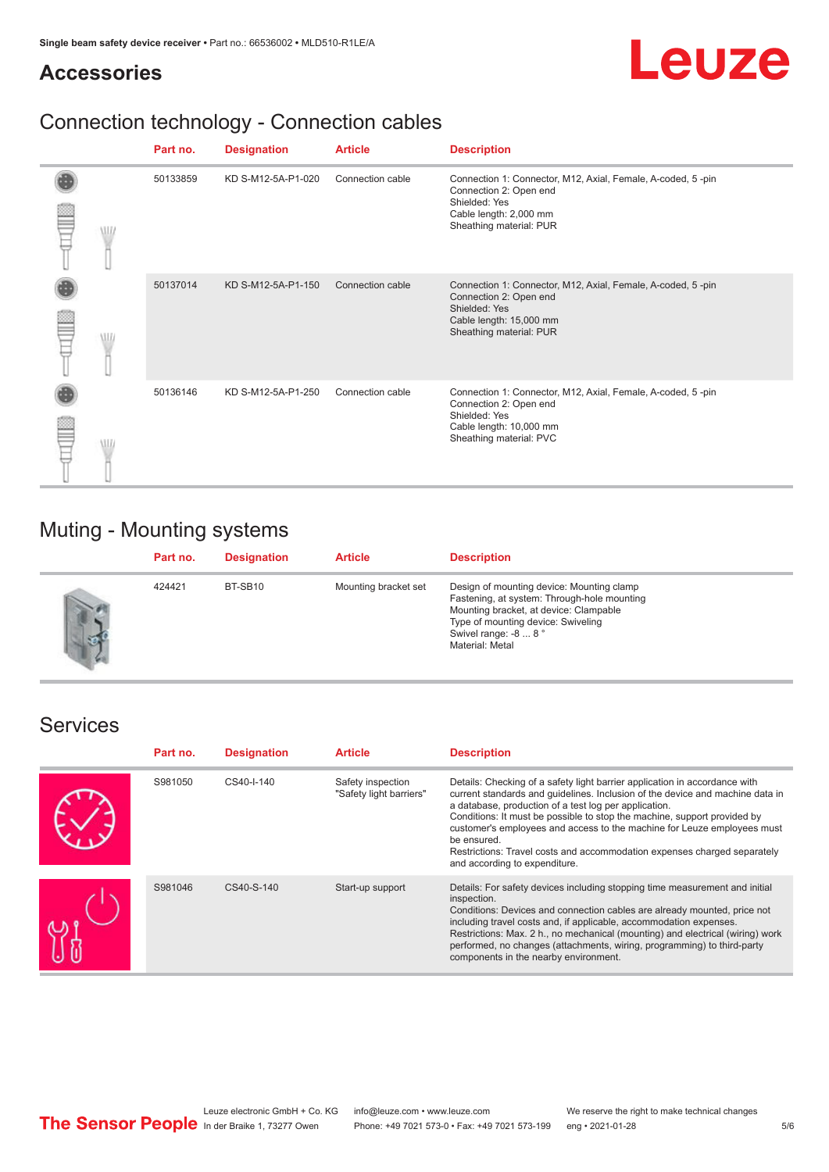## **Accessories**



## Connection technology - Connection cables

|   |          | Part no.           | <b>Designation</b> | <b>Article</b>                                                                                                                                              | <b>Description</b>                                                                                                                                           |
|---|----------|--------------------|--------------------|-------------------------------------------------------------------------------------------------------------------------------------------------------------|--------------------------------------------------------------------------------------------------------------------------------------------------------------|
| W | 50133859 | KD S-M12-5A-P1-020 | Connection cable   | Connection 1: Connector, M12, Axial, Female, A-coded, 5-pin<br>Connection 2: Open end<br>Shielded: Yes<br>Cable length: 2,000 mm<br>Sheathing material: PUR |                                                                                                                                                              |
|   | W        | 50137014           | KD S-M12-5A-P1-150 | Connection cable                                                                                                                                            | Connection 1: Connector, M12, Axial, Female, A-coded, 5-pin<br>Connection 2: Open end<br>Shielded: Yes<br>Cable length: 15,000 mm<br>Sheathing material: PUR |
|   | WL       | 50136146           | KD S-M12-5A-P1-250 | Connection cable                                                                                                                                            | Connection 1: Connector, M12, Axial, Female, A-coded, 5-pin<br>Connection 2: Open end<br>Shielded: Yes<br>Cable length: 10,000 mm<br>Sheathing material: PVC |

## Muting - Mounting systems

| Part no. | <b>Designation</b> | <b>Article</b>       | <b>Description</b>                                                                                                                                                                                                   |
|----------|--------------------|----------------------|----------------------------------------------------------------------------------------------------------------------------------------------------------------------------------------------------------------------|
| 424421   | BT-SB10            | Mounting bracket set | Design of mounting device: Mounting clamp<br>Fastening, at system: Through-hole mounting<br>Mounting bracket, at device: Clampable<br>Type of mounting device: Swiveling<br>Swivel range: -8  8 °<br>Material: Metal |

### Services

| Part no. | <b>Designation</b> | <b>Article</b>                               | <b>Description</b>                                                                                                                                                                                                                                                                                                                                                                                                                                                                                      |
|----------|--------------------|----------------------------------------------|---------------------------------------------------------------------------------------------------------------------------------------------------------------------------------------------------------------------------------------------------------------------------------------------------------------------------------------------------------------------------------------------------------------------------------------------------------------------------------------------------------|
| S981050  | CS40-I-140         | Safety inspection<br>"Safety light barriers" | Details: Checking of a safety light barrier application in accordance with<br>current standards and guidelines. Inclusion of the device and machine data in<br>a database, production of a test log per application.<br>Conditions: It must be possible to stop the machine, support provided by<br>customer's employees and access to the machine for Leuze employees must<br>be ensured.<br>Restrictions: Travel costs and accommodation expenses charged separately<br>and according to expenditure. |
| S981046  | CS40-S-140         | Start-up support                             | Details: For safety devices including stopping time measurement and initial<br>inspection.<br>Conditions: Devices and connection cables are already mounted, price not<br>including travel costs and, if applicable, accommodation expenses.<br>Restrictions: Max. 2 h., no mechanical (mounting) and electrical (wiring) work<br>performed, no changes (attachments, wiring, programming) to third-party<br>components in the nearby environment.                                                      |